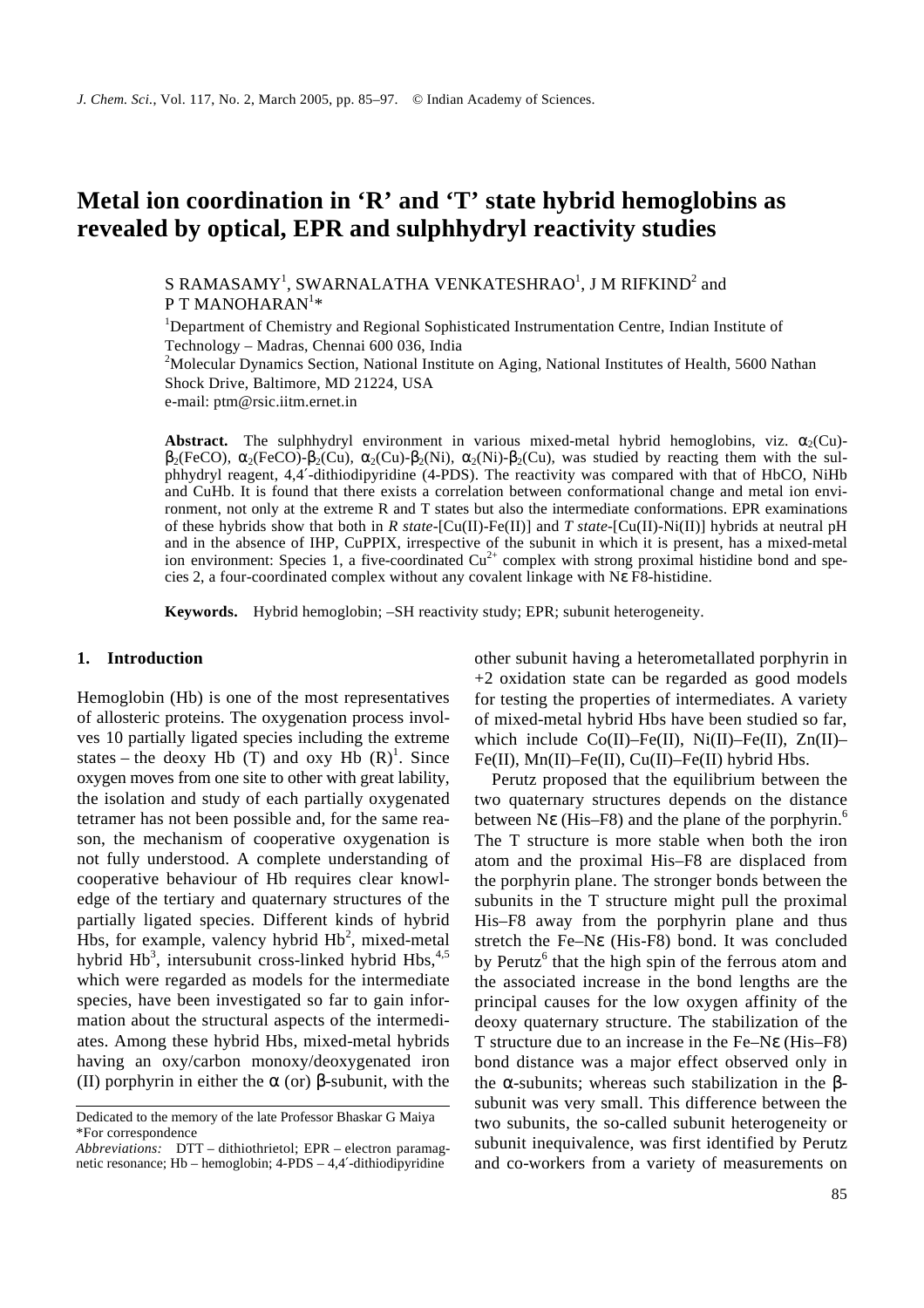# **Metal ion coordination in 'R' and 'T' state hybrid hemoglobins as revealed by optical, EPR and sulphhydryl reactivity studies**

S RAMASAMY<sup>1</sup>, SWARNALATHA VENKATESHRAO<sup>1</sup>, J M RIFKIND $^2$  and P T MANOHARAN $^{\rm l} \ast$ 

<sup>1</sup>Department of Chemistry and Regional Sophisticated Instrumentation Centre, Indian Institute of Technology – Madras, Chennai 600 036, India

<sup>2</sup>Molecular Dynamics Section, National Institute on Aging, National Institutes of Health, 5600 Nathan Shock Drive, Baltimore, MD 21224, USA

e-mail: ptm@rsic.iitm.ernet.in

**Abstract.** The sulphhydryl environment in various mixed-metal hybrid hemoglobins, viz.  $a_2$ (Cu)-**<sub>2</sub>(FeCO),**  $**a**$ **<sub>2</sub>(FeCO)-** $**b**$ **<sub>2</sub>(Cu),**  $**a**$ **<sub>2</sub>(Cu),**  $**a**$ **<sub>2</sub>(Ni)-** $**b**$ **<sub>2</sub>(Cu), was studied by reacting them with the sul**phhydryl reagent, 4,4′-dithiodipyridine (4-PDS). The reactivity was compared with that of HbCO, NiHb and CuHb. It is found that there exists a correlation between conformational change and metal ion environment, not only at the extreme R and T states but also the intermediate conformations. EPR examinations of these hybrids show that both in *R state*-[Cu(II)-Fe(II)] and *T state*-[Cu(II)-Ni(II)] hybrids at neutral pH and in the absence of IHP, CuPPIX, irrespective of the subunit in which it is present, has a mixed-metal ion environment: Species 1, a five-coordinated  $Cu<sup>2+</sup>$  complex with strong proximal histidine bond and species 2, a four-coordinated complex without any covalent linkage with N*e* F8-histidine.

**Keywords.** Hybrid hemoglobin; –SH reactivity study; EPR; subunit heterogeneity.

### **1. Introduction**

Hemoglobin (Hb) is one of the most representatives of allosteric proteins. The oxygenation process involves 10 partially ligated species including the extreme states – the deoxy Hb  $(T)$  and oxy Hb  $(R)^1$ . Since oxygen moves from one site to other with great lability, the isolation and study of each partially oxygenated tetramer has not been possible and, for the same reason, the mechanism of cooperative oxygenation is not fully understood. A complete understanding of cooperative behaviour of Hb requires clear knowledge of the tertiary and quaternary structures of the partially ligated species. Different kinds of hybrid Hbs, for example, valency hybrid  $Hb<sup>2</sup>$ , mixed-metal hybrid Hb<sup>3</sup>, intersubunit cross-linked hybrid Hbs,<sup>4,5</sup> which were regarded as models for the intermediate species, have been investigated so far to gain information about the structural aspects of the intermediates. Among these hybrid Hbs, mixed-metal hybrids having an oxy/carbon monoxy/deoxygenated iron (II) porphyrin in either the *a* (or) *b*-subunit, with the

other subunit having a heterometallated porphyrin in +2 oxidation state can be regarded as good models for testing the properties of intermediates. A variety of mixed-metal hybrid Hbs have been studied so far, which include  $Co(II)$ –Fe(II), Ni(II)–Fe(II), Zn(II)– Fe(II), Mn(II)–Fe(II), Cu(II)–Fe(II) hybrid Hbs.

Perutz proposed that the equilibrium between the two quaternary structures depends on the distance between Ne (His–F8) and the plane of the porphyrin.<sup>6</sup> The T structure is more stable when both the iron atom and the proximal His–F8 are displaced from the porphyrin plane. The stronger bonds between the subunits in the T structure might pull the proximal His–F8 away from the porphyrin plane and thus stretch the Fe–N*e* (His-F8) bond. It was concluded by Perutz<sup>6</sup> that the high spin of the ferrous atom and the associated increase in the bond lengths are the principal causes for the low oxygen affinity of the deoxy quaternary structure. The stabilization of the T structure due to an increase in the Fe–N*e* (His–F8) bond distance was a major effect observed only in the *a*-subunits; whereas such stabilization in the *b*subunit was very small. This difference between the two subunits, the so-called subunit heterogeneity or subunit inequivalence, was first identified by Perutz and co-workers from a variety of measurements on

Dedicated to the memory of the late Professor Bhaskar G Maiya \*For correspondence

*Abbreviations:* DTT – dithiothrietol; EPR – electron paramagnetic resonance; Hb – hemoglobin; 4-PDS – 4,4′-dithiodipyridine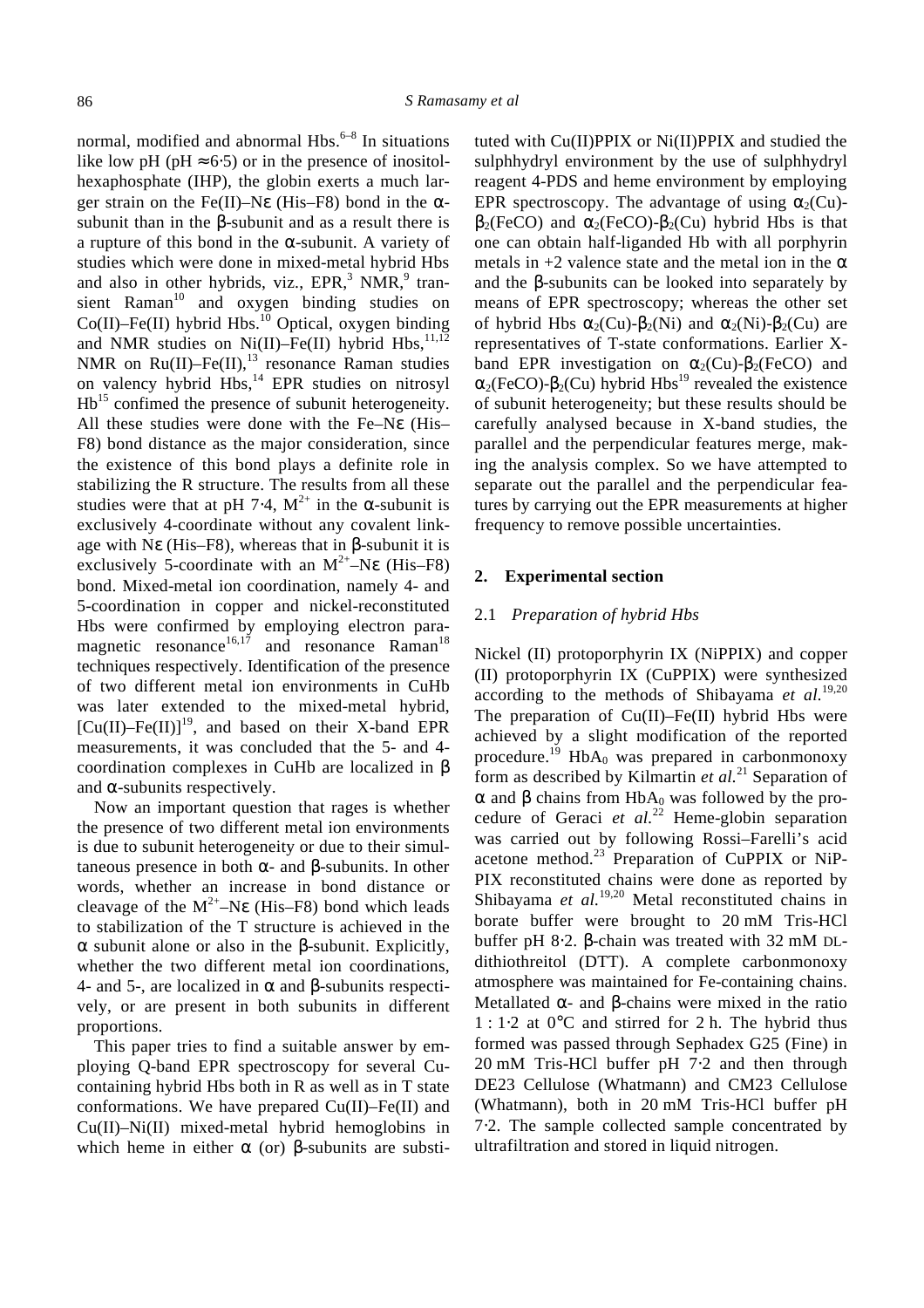normal, modified and abnormal Hbs.<sup>6-8</sup> In situations like low pH (pH  $\approx$  6⋅5) or in the presence of inositolhexaphosphate (IHP), the globin exerts a much larger strain on the Fe(II)–N*e* (His–F8) bond in the *a*subunit than in the *b*-subunit and as a result there is a rupture of this bond in the *a*-subunit. A variety of studies which were done in mixed-metal hybrid Hbs and also in other hybrids, viz., EPR,<sup>3</sup> NMR,<sup>9</sup> transient Raman<sup>10</sup> and oxygen binding studies on  $Co(II)$ –Fe(II) hybrid Hbs.<sup>10</sup> Optical, oxygen binding and NMR studies on Ni(II)–Fe(II) hybrid Hbs,  $11,12$ NMR on  $Ru(II)$ –Fe $(II)$ ,<sup>13</sup> resonance Raman studies on valency hybrid Hbs,<sup>14</sup> EPR studies on nitrosyl Hb<sup>15</sup> confimed the presence of subunit heterogeneity. All these studies were done with the Fe–N*e* (His– F8) bond distance as the major consideration, since the existence of this bond plays a definite role in stabilizing the R structure. The results from all these studies were that at pH 7⋅4,  $M^{2+}$  in the **a**-subunit is exclusively 4-coordinate without any covalent linkage with N*e* (His–F8), whereas that in *b*-subunit it is exclusively 5-coordinate with an  $M^{2+}$ –Ne (His–F8) bond. Mixed-metal ion coordination, namely 4- and 5-coordination in copper and nickel-reconstituted Hbs were confirmed by employing electron paramagnetic resonance<sup>16,17</sup> and resonance Raman<sup>18</sup> techniques respectively. Identification of the presence of two different metal ion environments in CuHb was later extended to the mixed-metal hybrid,  $[Cu(II)$ –Fe $(II)$ <sup>19</sup>, and based on their X-band EPR measurements, it was concluded that the 5- and 4 coordination complexes in CuHb are localized in *b* and *a*-subunits respectively.

Now an important question that rages is whether the presence of two different metal ion environments is due to subunit heterogeneity or due to their simultaneous presence in both *a-* and *b*-subunits. In other words, whether an increase in bond distance or cleavage of the  $M^{2+}$ –Ne (His–F8) bond which leads to stabilization of the T structure is achieved in the *a* subunit alone or also in the *b*-subunit. Explicitly, whether the two different metal ion coordinations, 4- and 5-, are localized in *a* and *b*-subunits respectively, or are present in both subunits in different proportions.

This paper tries to find a suitable answer by employing Q-band EPR spectroscopy for several Cucontaining hybrid Hbs both in R as well as in T state conformations. We have prepared Cu(II)–Fe(II) and Cu(II)–Ni(II) mixed-metal hybrid hemoglobins in which heme in either *a* (or) *b*-subunits are substituted with Cu(II)PPIX or Ni(II)PPIX and studied the sulphhydryl environment by the use of sulphhydryl reagent 4-PDS and heme environment by employing EPR spectroscopy. The advantage of using  $a_2$ (Cu) **and**  $**a**<sub>2</sub>(FeCO) - **b**<sub>2</sub>(Cu)$  **hybrid Hbs is that** one can obtain half-liganded Hb with all porphyrin metals in +2 valence state and the metal ion in the *a* and the *b*-subunits can be looked into separately by means of EPR spectroscopy; whereas the other set of hybrid Hbs  $a_2$ (Cu)- $b_2$ (Ni) and  $a_2$ (Ni)- $b_2$ (Cu) are representatives of T-state conformations. Earlier Xband EPR investigation on  $a_2$ (Cu)- $b_2$ (FeCO) and  $a_2$ (FeCO)- $b_2$ (Cu) hybrid Hbs<sup>19</sup> revealed the existence of subunit heterogeneity; but these results should be carefully analysed because in X-band studies, the parallel and the perpendicular features merge, making the analysis complex. So we have attempted to separate out the parallel and the perpendicular features by carrying out the EPR measurements at higher frequency to remove possible uncertainties.

## **2. Experimental section**

#### 2.1 *Preparation of hybrid Hbs*

Nickel (II) protoporphyrin IX (NiPPIX) and copper (II) protoporphyrin IX (CuPPIX) were synthesized according to the methods of Shibayama *et al.*19,20 The preparation of  $Cu(II)$ –Fe $(II)$  hybrid Hbs were achieved by a slight modification of the reported procedure.<sup>19</sup> HbA<sub>0</sub> was prepared in carbonmonoxy form as described by Kilmartin *et al.*<sup>21</sup> Separation of  $a$  and  $b$  chains from  $HbA_0$  was followed by the procedure of Geraci et al.<sup>22</sup> Heme-globin separation was carried out by following Rossi–Farelli's acid acetone method. $^{23}$  Preparation of CuPPIX or NiP-PIX reconstituted chains were done as reported by Shibayama et al.<sup>19,20</sup> Metal reconstituted chains in borate buffer were brought to 20 mM Tris-HCl buffer pH 8⋅2. *b*-chain was treated with 32 mM DLdithiothreitol (DTT). A complete carbonmonoxy atmosphere was maintained for Fe-containing chains. Metallated *a-* and *b*-chains were mixed in the ratio 1 : 1⋅2 at 0°C and stirred for 2 h. The hybrid thus formed was passed through Sephadex G25 (Fine) in 20 mM Tris-HCl buffer pH 7⋅2 and then through DE23 Cellulose (Whatmann) and CM23 Cellulose (Whatmann), both in 20 mM Tris-HCl buffer pH 7⋅2. The sample collected sample concentrated by ultrafiltration and stored in liquid nitrogen.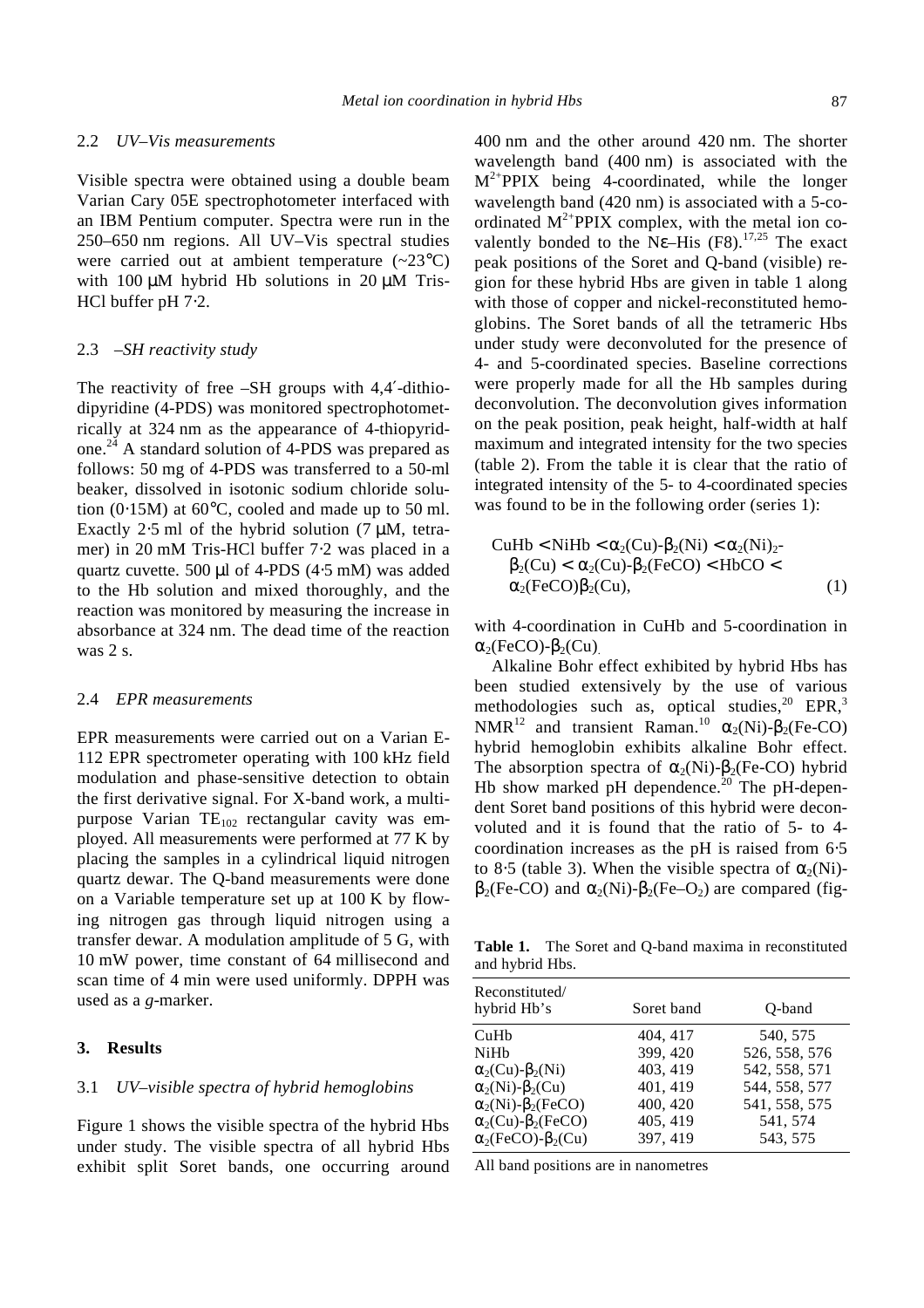#### 2.2 *UV–Vis measurements*

Visible spectra were obtained using a double beam Varian Cary 05E spectrophotometer interfaced with an IBM Pentium computer. Spectra were run in the 250–650 nm regions. All UV–Vis spectral studies were carried out at ambient temperature  $(-23^{\circ}C)$ with 100 *m*M hybrid Hb solutions in 20 *m*M Tris-HCl buffer pH 7⋅2.

## 2.3 *–SH reactivity study*

The reactivity of free –SH groups with 4,4'-dithiodipyridine (4-PDS) was monitored spectrophotometrically at 324 nm as the appearance of 4-thiopyridone.<sup>24</sup> A standard solution of 4-PDS was prepared as follows: 50 mg of 4-PDS was transferred to a 50-ml beaker, dissolved in isotonic sodium chloride solution  $(0.15M)$  at 60 $^{\circ}$ C, cooled and made up to 50 ml. Exactly 2⋅5 ml of the hybrid solution (7 *m*M, tetramer) in 20 mM Tris-HCl buffer 7⋅2 was placed in a quartz cuvette. 500 *m*l of 4-PDS (4⋅5 mM) was added to the Hb solution and mixed thoroughly, and the reaction was monitored by measuring the increase in absorbance at 324 nm. The dead time of the reaction was 2 s.

#### 2.4 *EPR measurements*

EPR measurements were carried out on a Varian E-112 EPR spectrometer operating with 100 kHz field modulation and phase-sensitive detection to obtain the first derivative signal. For X-band work, a multipurpose Varian  $TE_{102}$  rectangular cavity was employed. All measurements were performed at 77 K by placing the samples in a cylindrical liquid nitrogen quartz dewar. The Q-band measurements were done on a Variable temperature set up at 100 K by flowing nitrogen gas through liquid nitrogen using a transfer dewar. A modulation amplitude of 5 G, with 10 mW power, time constant of 64 millisecond and scan time of 4 min were used uniformly. DPPH was used as a *g*-marker.

# **3. Results**

### 3.1 *UV–visible spectra of hybrid hemoglobins*

Figure 1 shows the visible spectra of the hybrid Hbs under study. The visible spectra of all hybrid Hbs exhibit split Soret bands, one occurring around 400 nm and the other around 420 nm. The shorter wavelength band (400 nm) is associated with the  $M^{2+}$ PPIX being 4-coordinated, while the longer wavelength band (420 nm) is associated with a 5-coordinated  $M^{2+}$ PPIX complex, with the metal ion covalently bonded to the  $Ne$ –His  $(F8)$ .<sup>17,25</sup> The exact peak positions of the Soret and Q-band (visible) region for these hybrid Hbs are given in table 1 along with those of copper and nickel-reconstituted hemoglobins. The Soret bands of all the tetrameric Hbs under study were deconvoluted for the presence of 4- and 5-coordinated species. Baseline corrections were properly made for all the Hb samples during deconvolution. The deconvolution gives information on the peak position, peak height, half-width at half maximum and integrated intensity for the two species (table 2). From the table it is clear that the ratio of integrated intensity of the 5- to 4-coordinated species was found to be in the following order (series 1):

$$
\text{CuHb} < \text{NiHb} < \mathbf{a}_2(\text{Cu}) \cdot \mathbf{b}_2(\text{Ni}) < \mathbf{a}_2(\text{Ni})_2 \cdot \mathbf{b}_2(\text{Cu}) < \mathbf{a}_2(\text{FeCO}) \cdot \text{HbCO} < \mathbf{a}_2(\text{FeCO}) \mathbf{b}_2(\text{Cu}),\tag{1}
$$

with 4-coordination in CuHb and 5-coordination in  $a_2$ (FeCO)- $b_2$ (Cu).

Alkaline Bohr effect exhibited by hybrid Hbs has been studied extensively by the use of various methodologies such as, optical studies, $20$  EPR, $3$ NMR<sup>12</sup> and transient Raman.<sup>10</sup>  $a_2(Ni)$ - $b_2(Fe-CO)$ hybrid hemoglobin exhibits alkaline Bohr effect. The absorption spectra of  $a_2(Ni)$ - $b_2$ (Fe-CO) hybrid Hb show marked pH dependence.<sup>20</sup> The pH-dependent Soret band positions of this hybrid were deconvoluted and it is found that the ratio of 5- to 4 coordination increases as the pH is raised from 6⋅5 to 8⋅5 (table 3). When the visible spectra of  $a_2(Ni)$  **and**  $**a**<sub>2</sub>(Ni)-**b**<sub>2</sub>(Fe-O<sub>2</sub>)$  **are compared (fig-**

**Table 1.** The Soret and Q-band maxima in reconstituted and hybrid Hbs.

| Reconstituted/<br>hybrid Hb's            | Soret band | O-band        |
|------------------------------------------|------------|---------------|
| CuHb                                     | 404.417    | 540, 575      |
| NiHh                                     | 399, 420   | 526, 558, 576 |
| $\mathbf{a}_2$ (Cu)- $\mathbf{b}_2$ (Ni) | 403, 419   | 542, 558, 571 |
| $a_2(Ni)$ - $b_2(Cu)$                    | 401, 419   | 544, 558, 577 |
| $a_2(Ni)$ - $b_2(FeCO)$                  | 400, 420   | 541, 558, 575 |
| $a_2$ (Cu)- $b_2$ (FeCO)                 | 405, 419   | 541, 574      |
| $a_2$ (FeCO)- $b_2$ (Cu)                 | 397, 419   | 543, 575      |

All band positions are in nanometres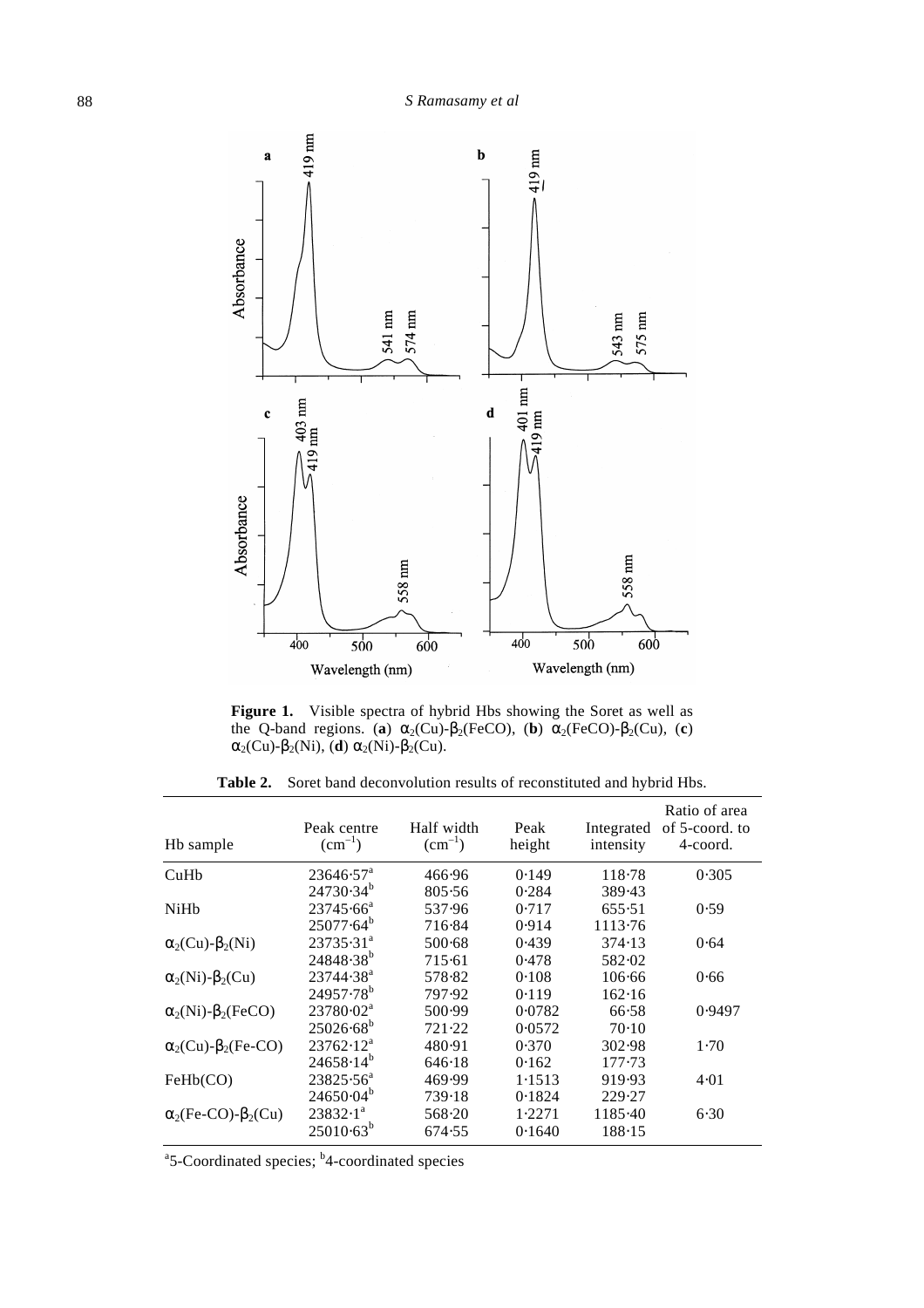

**Figure 1.** Visible spectra of hybrid Hbs showing the Soret as well as the Q-band regions. (a)  $a_2$ (Cu)- $b_2$ (FeCO), (b)  $a_2$ (FeCO)- $b_2$ (Cu), (c)  $a_2$ (Cu)- $b_2$ (Ni), (**d**)  $a_2$ (Ni)- $b_2$ (Cu).

|  |  | <b>Table 2.</b> Soret band deconvolution results of reconstituted and hybrid Hbs. |  |  |  |  |
|--|--|-----------------------------------------------------------------------------------|--|--|--|--|
|--|--|-----------------------------------------------------------------------------------|--|--|--|--|

| Hb sample                                | Peak centre<br>$\rm (cm^{-1})$ | Half width<br>$(cm^{-1})$ | Peak<br>height | Integrated<br>intensity | Ratio of area<br>of 5-coord. to<br>4-coord. |
|------------------------------------------|--------------------------------|---------------------------|----------------|-------------------------|---------------------------------------------|
| CuHb                                     | $23646.57^{\text{a}}$          | 466.96                    | 0.149          | 118.78                  | 0.305                                       |
|                                          | $24730.34^{b}$                 | 805.56                    | 0.284          | 389.43                  |                                             |
| NiHb                                     | $23745.66^a$                   | 537.96                    | 0.717          | 655.51                  | 0.59                                        |
|                                          | $25077.64^{b}$                 | 716.84                    | 0.914          | 1113.76                 |                                             |
| $\mathbf{a}_2$ (Cu)- $\mathbf{b}_2$ (Ni) | $23735.31^{a}$                 | 500.68                    | 0.439          | 374.13                  | 0.64                                        |
|                                          | $24848.38^{b}$                 | 715.61                    | 0.478          | 582.02                  |                                             |
| $\mathbf{a}_2(Ni)$ - $\mathbf{b}_2(Cu)$  | 23744.38 <sup>a</sup>          | 578.82                    | 0.108          | 106.66                  | 0.66                                        |
|                                          | $24957.78^{b}$                 | 797.92                    | 0.119          | 162.16                  |                                             |
| $a_2(Ni)$ - $b_2(FeCO)$                  | $23780 \cdot 02^a$             | 500.99                    | 0.0782         | 66.58                   | 0.9497                                      |
|                                          | $25026.68^{b}$                 | 721.22                    | 0.0572         | $70-10$                 |                                             |
| $a_2$ (Cu)- $b_2$ (Fe-CO)                | $23762 \cdot 12^a$             | 480.91                    | 0.370          | 302.98                  | 1.70                                        |
|                                          | $24658.14^{b}$                 | 646.18                    | 0.162          | 177.73                  |                                             |
| FeHb(CO)                                 | $23825.56^a$                   | 469.99                    | 1.1513         | 919.93                  | 4.01                                        |
|                                          | $24650.04^b$                   | 739.18                    | 0.1824         | 229.27                  |                                             |
| $a_2$ (Fe-CO)- $b_2$ (Cu)                | $23832 \cdot 1^a$              | 568.20                    | 1.2271         | 1185.40                 | 6.30                                        |
|                                          | $25010.63^{b}$                 | 674.55                    | 0.1640         | 188.15                  |                                             |

<sup>a</sup>5-Coordinated species; <sup>b</sup>4-coordinated species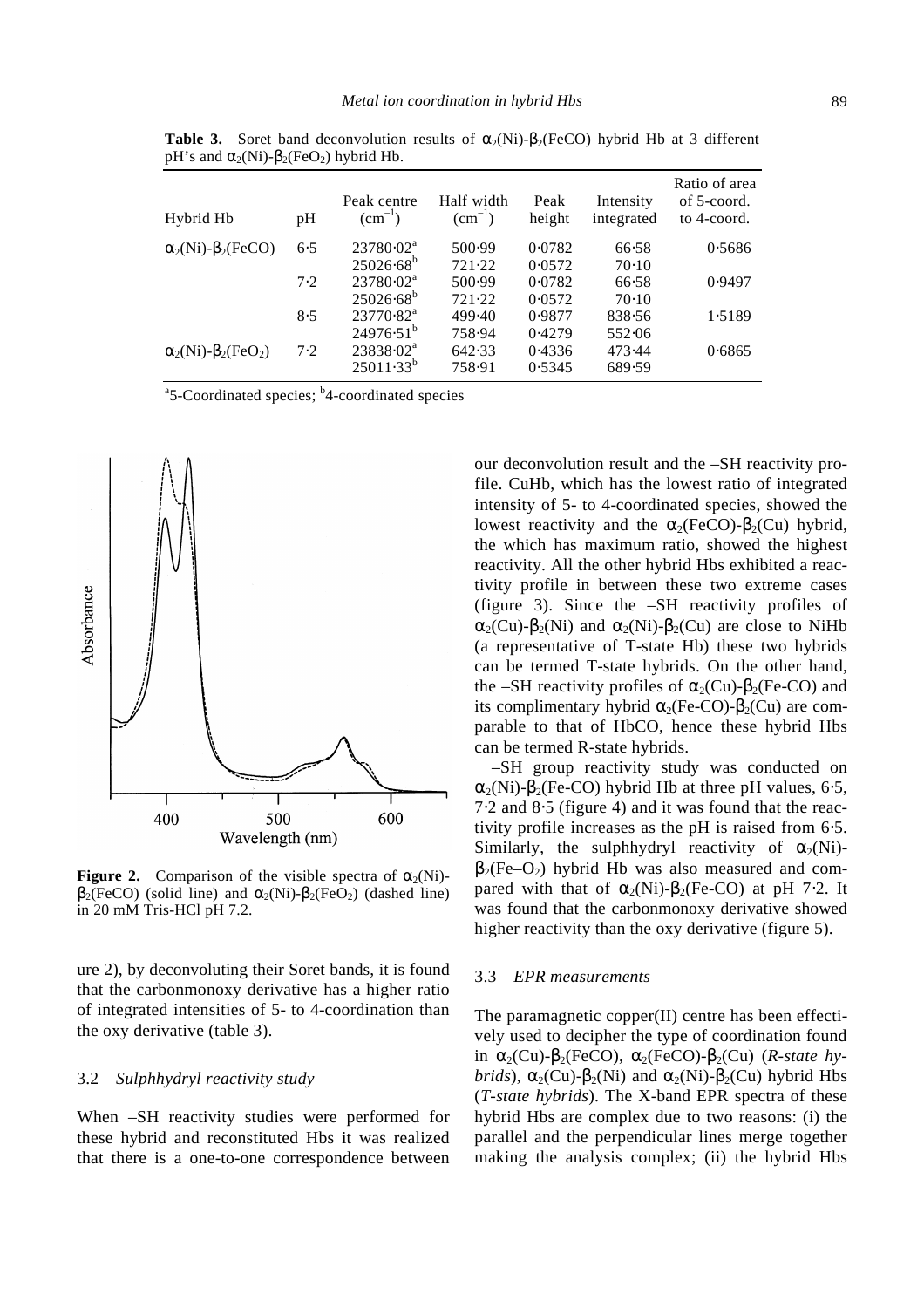| Hybrid Hb                                  | pH  | Peak centre<br>$(cm^{-1})$ | Half width<br>$\rm (cm^{-1})$ | Peak<br>height | Intensity<br>integrated | Ratio of area<br>of 5-coord.<br>to 4-coord. |
|--------------------------------------------|-----|----------------------------|-------------------------------|----------------|-------------------------|---------------------------------------------|
| $a_2(Ni)$ - $b_2(FeCO)$                    | 6.5 | $23780 \cdot 02^a$         | 500.99                        | 0.0782         | 66.58                   | 0.5686                                      |
|                                            |     | $25026.68^{b}$             | 721.22                        | 0.0572         | $70-10$                 |                                             |
|                                            | 7.2 | $23780 \cdot 02^a$         | 500.99                        | 0.0782         | 66.58                   | 0.9497                                      |
|                                            |     | $25026.68^{b}$             | 721.22                        | 0.0572         | $70-10$                 |                                             |
|                                            | 8.5 | $23770.82^a$               | 499.40                        | 0.9877         | 838.56                  | 1.5189                                      |
|                                            |     | $24976.51^{b}$             | 758.94                        | 0.4279         | 552.06                  |                                             |
| $\mathbf{a}_2(Ni)$ - $\mathbf{b}_2(FeO_2)$ | 7.2 | $23838.02^a$               | 642.33                        | 0.4336         | 473.44                  | 0.6865                                      |
|                                            |     | $25011.33^{b}$             | 758.91                        | 0.5345         | 689.59                  |                                             |

**Table 3.** Soret band deconvolution results of  $a_2(Ni)$ - $b_2(FeCO)$  hybrid Hb at 3 different pH's and  $\mathbf{a}_2(Ni)$ - $\mathbf{b}_2$ (FeO<sub>2</sub>) hybrid Hb.

<sup>a</sup>5-Coordinated species; <sup>b</sup>4-coordinated species



**Figure 2.** Comparison of the visible spectra of  $a_2(Ni)$ - **(solid line) and**  $**a**<sub>2</sub>(Ni)-**b**<sub>2</sub>(FeO<sub>2</sub>)$  **(dashed line)** in 20 mM Tris-HCl pH 7.2.

ure 2), by deconvoluting their Soret bands, it is found that the carbonmonoxy derivative has a higher ratio of integrated intensities of 5- to 4-coordination than the oxy derivative (table 3).

### 3.2 *Sulphhydryl reactivity study*

When –SH reactivity studies were performed for these hybrid and reconstituted Hbs it was realized that there is a one-to-one correspondence between our deconvolution result and the –SH reactivity profile. CuHb, which has the lowest ratio of integrated intensity of 5- to 4-coordinated species, showed the lowest reactivity and the  $a_2$ (FeCO)- $b_2$ (Cu) hybrid, the which has maximum ratio, showed the highest reactivity. All the other hybrid Hbs exhibited a reactivity profile in between these two extreme cases (figure 3). Since the –SH reactivity profiles of  $a_2$ (Cu)- $b_2$ (Ni) and  $a_2$ (Ni)- $b_2$ (Cu) are close to NiHb (a representative of T-state Hb) these two hybrids can be termed T-state hybrids. On the other hand, the –SH reactivity profiles of  $a_2$ (Cu)- $b_2$ (Fe-CO) and its complimentary hybrid  $a_2$ (Fe-CO)- $b_2$ (Cu) are comparable to that of HbCO, hence these hybrid Hbs can be termed R-state hybrids.

–SH group reactivity study was conducted on  $a_2(Ni)$ - $b_2(Fe\text{-}CO)$  hybrid Hb at three pH values, 6⋅5, 7⋅2 and 8⋅5 (figure 4) and it was found that the reactivity profile increases as the pH is raised from 6⋅5. Similarly, the sulphhydryl reactivity of  $a_2(Ni)$  **hybrid Hb was also measured and com**pared with that of  $a_2(Ni)$ - $b_2(Fe$ -CO) at pH 7⋅2. It was found that the carbonmonoxy derivative showed higher reactivity than the oxy derivative (figure 5).

### 3.3 *EPR measurements*

The paramagnetic copper(II) centre has been effectively used to decipher the type of coordination found in  $a_2$ (Cu)- $b_2$ (FeCO),  $a_2$ (FeCO)- $b_2$ (Cu) (*R-state hybrids*),  $\mathbf{a}_2$ (Cu)- $\mathbf{b}_2$ (Ni) and  $\mathbf{a}_2$ (Ni)- $\mathbf{b}_2$ (Cu) hybrid Hbs (*T-state hybrids*). The X-band EPR spectra of these hybrid Hbs are complex due to two reasons: (i) the parallel and the perpendicular lines merge together making the analysis complex; (ii) the hybrid Hbs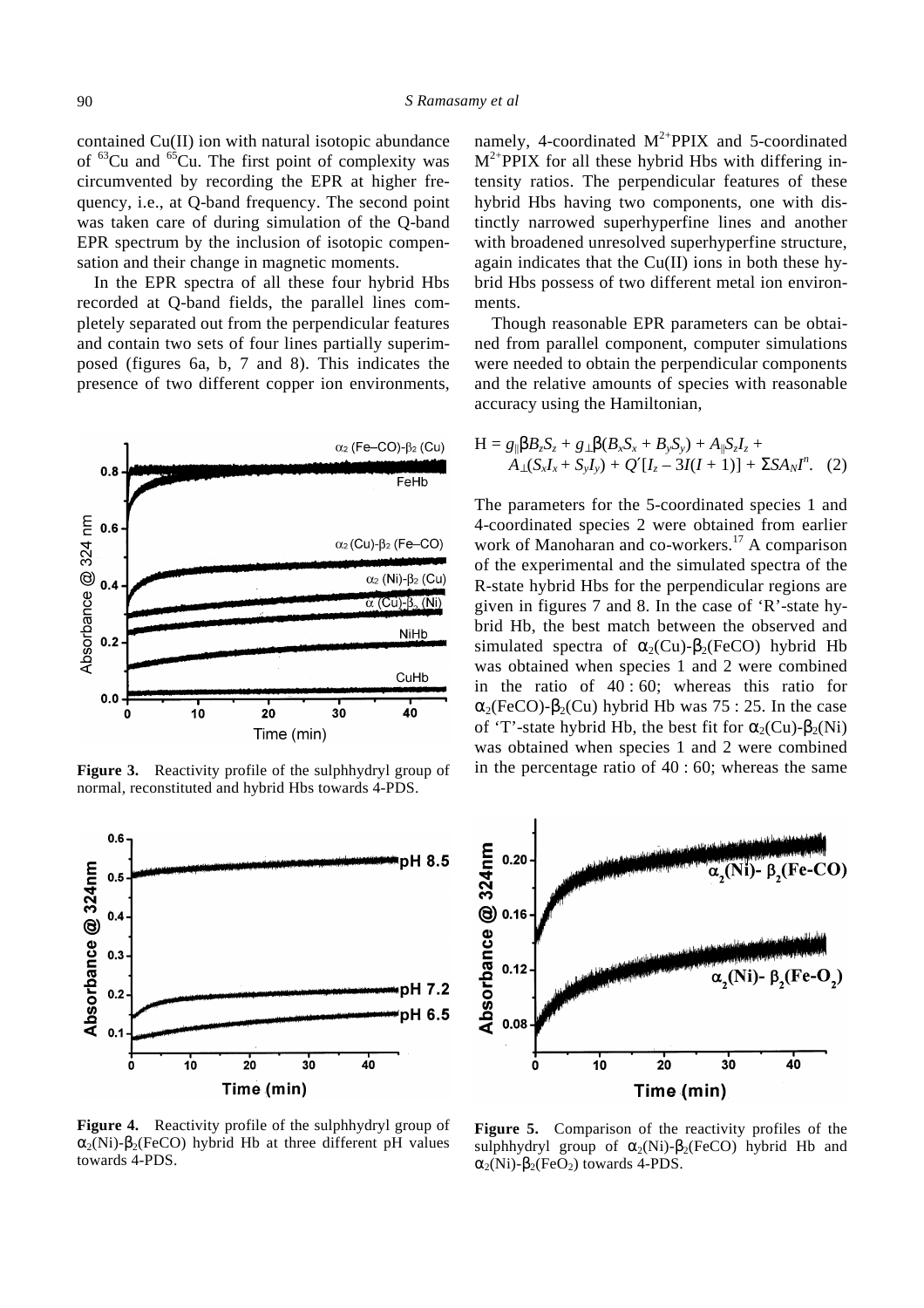contained Cu(II) ion with natural isotopic abundance of  ${}^{63}$ Cu and  ${}^{65}$ Cu. The first point of complexity was circumvented by recording the EPR at higher frequency, i.e., at Q-band frequency. The second point was taken care of during simulation of the Q-band EPR spectrum by the inclusion of isotopic compensation and their change in magnetic moments.

In the EPR spectra of all these four hybrid Hbs recorded at Q-band fields, the parallel lines completely separated out from the perpendicular features and contain two sets of four lines partially superimposed (figures 6a, b, 7 and 8). This indicates the presence of two different copper ion environments,



**Figure 3.** Reactivity profile of the sulphhydryl group of normal, reconstituted and hybrid Hbs towards 4-PDS.



**Figure 4.** Reactivity profile of the sulphhydryl group of  $a_2(Ni)$ - $b_2(FeCO)$  hybrid Hb at three different pH values towards 4-PDS.

namely, 4-coordinated  $M^{2+}PPIX$  and 5-coordinated  $M^{2+}$ PPIX for all these hybrid Hbs with differing intensity ratios. The perpendicular features of these hybrid Hbs having two components, one with distinctly narrowed superhyperfine lines and another with broadened unresolved superhyperfine structure, again indicates that the  $Cu(II)$  ions in both these hybrid Hbs possess of two different metal ion environments.

Though reasonable EPR parameters can be obtained from parallel component, computer simulations were needed to obtain the perpendicular components and the relative amounts of species with reasonable accuracy using the Hamiltonian,

$$
H = g_{\parallel}bB_zS_z + g_{\perp}b(B_xS_x + B_yS_y) + A_{\parallel}S_zI_z + A_{\perp}(S_xI_x + S_yI_y) + Q'[I_z - 3I(I + 1)] + \Sigma SA_NI^n.
$$
 (2)

The parameters for the 5-coordinated species 1 and 4-coordinated species 2 were obtained from earlier work of Manoharan and co-workers.<sup>17</sup> A comparison of the experimental and the simulated spectra of the R-state hybrid Hbs for the perpendicular regions are given in figures 7 and 8. In the case of 'R'-state hybrid Hb, the best match between the observed and simulated spectra of  $a_2$ (Cu)- $b_2$ (FeCO) hybrid Hb was obtained when species 1 and 2 were combined in the ratio of 40 : 60; whereas this ratio for  $a_2$ (FeCO)- $b_2$ (Cu) hybrid Hb was 75 : 25. In the case of 'T'-state hybrid Hb, the best fit for  $\mathbf{a}_2$ (Cu)- $\mathbf{b}_2(Ni)$ was obtained when species 1 and 2 were combined in the percentage ratio of 40 : 60; whereas the same



**Figure 5.** Comparison of the reactivity profiles of the sulphhydryl group of  $a_2(Ni)$ - $b_2(FeCO)$  hybrid Hb and  $a_2(Ni)$ - $b_2(FeO_2)$  towards 4-PDS.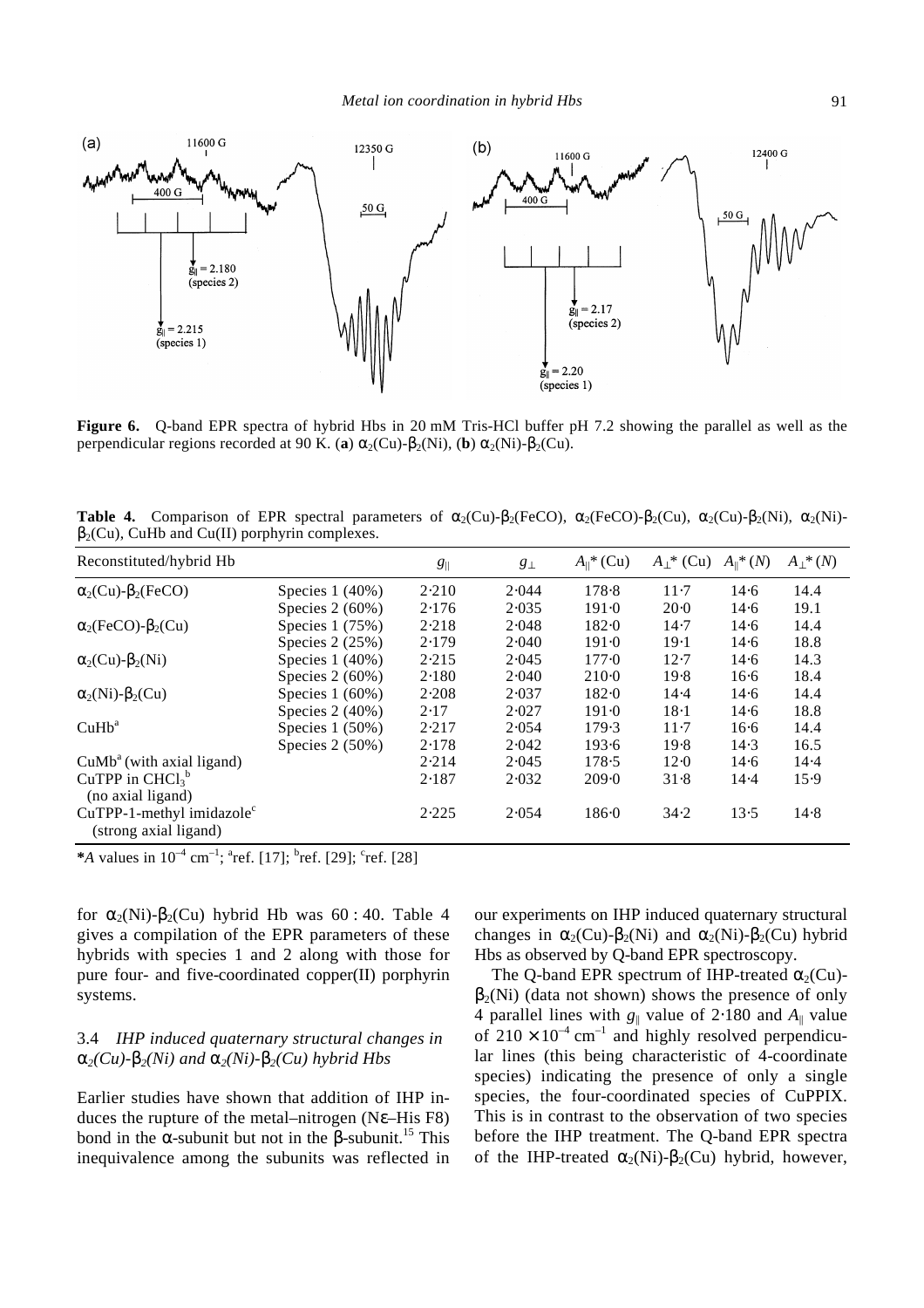

**Figure 6.** Q-band EPR spectra of hybrid Hbs in 20 mM Tris-HCl buffer pH 7.2 showing the parallel as well as the perpendicular regions recorded at 90 K. (a)  $a_2$ (Cu)- $b_2$ (Ni), (b)  $a_2$ (Ni)- $b_2$ (Cu).

**Table 4.** Comparison of EPR spectral parameters of  $a_2$ (Cu)- $b_2$ (FeCO),  $a_2$ (FeCO)- $b_2$ (Cu),  $a_2$ (Cu)- $b_2$ (Ni),  $a_2$ (Ni)-**, CuHb and Cu(II) porphyrin complexes.** 

| Reconstituted/hybrid Hb                                  |                   | $g_{\parallel}$ | $g_{\perp}$ | $A_{\parallel}$ <sup>*</sup> (Cu) | $A_1^*$ (Cu) | $A_{\parallel}$ * $(N)$ | $A_{\perp}$ <sup>*</sup> (N) |
|----------------------------------------------------------|-------------------|-----------------|-------------|-----------------------------------|--------------|-------------------------|------------------------------|
| $a_2$ (Cu)- $b_2$ (FeCO)                                 | Species $1(40\%)$ | 2.210           | 2.044       | 178.8                             | $11-7$       | 14.6                    | 14.4                         |
|                                                          | Species $2(60%)$  | 2.176           | 2.035       | 191.0                             | 20.0         | 14.6                    | 19.1                         |
| $a_2$ (FeCO)- $b_2$ (Cu)                                 | Species $1(75%)$  | 2.218           | 2.048       | 182.0                             | 14.7         | 14.6                    | 14.4                         |
|                                                          | Species $2(25%)$  | 2.179           | 2.040       | 191.0                             | 19.1         | 14.6                    | 18.8                         |
| $\mathbf{a}_2$ (Cu)- $\mathbf{b}_2$ (Ni)                 | Species $1(40%)$  | 2.215           | 2.045       | 177.0                             | 12.7         | 14.6                    | 14.3                         |
|                                                          | Species $2(60\%)$ | 2.180           | 2.040       | $210-0$                           | 19.8         | $16-6$                  | 18.4                         |
| $\mathbf{a}_2(Ni)$ - $\mathbf{b}_2(Cu)$                  | Species $1(60\%)$ | 2.208           | 2.037       | 182.0                             | 14.4         | 14.6                    | 14.4                         |
|                                                          | Species $2(40\%)$ | 2.17            | 2.027       | 191.0                             | $18-1$       | 14.6                    | 18.8                         |
| CuHb <sup>a</sup>                                        | Species $1(50%)$  | 2.217           | 2.054       | 179.3                             | $11-7$       | $16-6$                  | 14.4                         |
|                                                          | Species $2(50%)$  | 2.178           | 2.042       | 193.6                             | 19.8         | 14.3                    | 16.5                         |
| $CuMba$ (with axial ligand)                              |                   | 2.214           | 2.045       | 178.5                             | 12.0         | 14.6                    | 14.4                         |
| CuTPP in $CHCl3b$<br>(no axial ligand)                   |                   | 2.187           | 2.032       | 209.0                             | 31.8         | 14.4                    | 15.9                         |
| $CuTPP-1$ -methyl imidazole $c$<br>(strong axial ligand) |                   | 2.225           | 2.054       | 186.0                             | 34.2         | 13.5                    | 14.8                         |

\**A* values in  $10^{-4}$  cm<sup>-1</sup>; <sup>a</sup>ref. [17]; <sup>b</sup>ref. [29]; <sup>c</sup>ref. [28]

for  $a_2(Ni)$ - $b_2(Cu)$  hybrid Hb was 60 : 40. Table 4 gives a compilation of the EPR parameters of these hybrids with species 1 and 2 along with those for pure four- and five-coordinated copper(II) porphyrin systems.

# 3.4 *IHP induced quaternary structural changes in*   $a_2$ (*Cu*)- $b_2$ (*Ni*) and  $a_2$ (*Ni*)- $b_2$ (*Cu*) hybrid Hbs

Earlier studies have shown that addition of IHP induces the rupture of the metal–nitrogen (N*e*–His F8) bond in the  $a$ -subunit but not in the  $b$ -subunit.<sup>15</sup> This inequivalence among the subunits was reflected in our experiments on IHP induced quaternary structural changes in  $a_2$ (Cu)- $b_2$ (Ni) and  $a_2$ (Ni)- $b_2$ (Cu) hybrid Hbs as observed by Q-band EPR spectroscopy.

The Q-band EPR spectrum of IHP-treated  $a_2$ (Cu)- **(data not shown) shows the presence of only** 4 parallel lines with *g*|| value of 2⋅180 and *A*|| value of  $210 \times 10^{-4}$  cm<sup>-1</sup> and highly resolved perpendicular lines (this being characteristic of 4-coordinate species) indicating the presence of only a single species, the four-coordinated species of CuPPIX. This is in contrast to the observation of two species before the IHP treatment. The Q-band EPR spectra of the IHP-treated  $\mathbf{a}_2(Ni) \cdot \mathbf{b}_2(Cu)$  hybrid, however,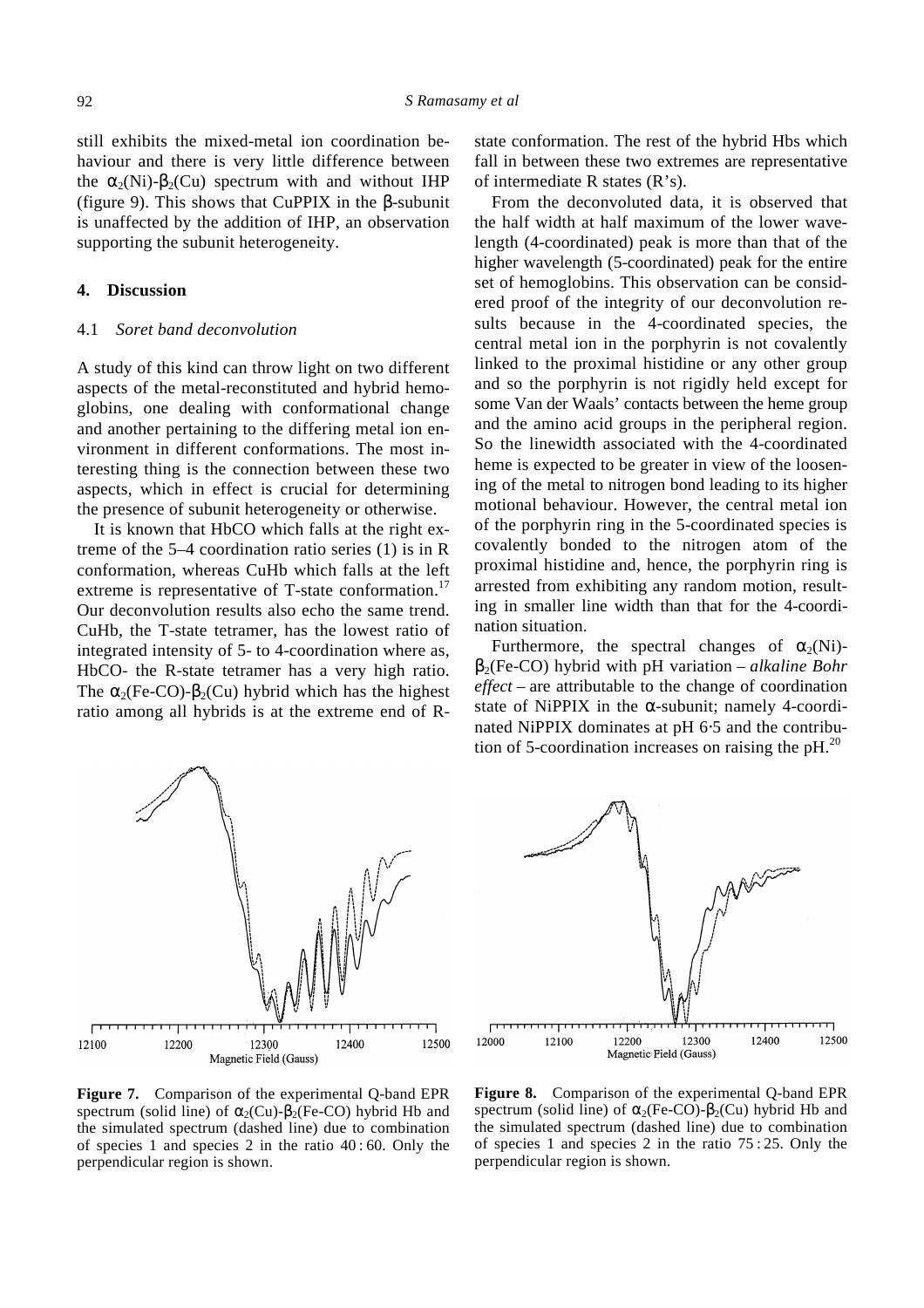still exhibits the mixed-metal ion coordination behaviour and there is very little difference between the  $a_2(Ni)$ - $b_2(Cu)$  spectrum with and without IHP (figure 9). This shows that CuPPIX in the *b*-subunit is unaffected by the addition of IHP, an observation supporting the subunit heterogeneity.

### **4. Discussion**

### 4.1 *Soret band deconvolution*

A study of this kind can throw light on two different aspects of the metal-reconstituted and hybrid hemoglobins, one dealing with conformational change and another pertaining to the differing metal ion environment in different conformations. The most interesting thing is the connection between these two aspects, which in effect is crucial for determining the presence of subunit heterogeneity or otherwise.

It is known that HbCO which falls at the right extreme of the 5–4 coordination ratio series (1) is in R conformation, whereas CuHb which falls at the left extreme is representative of  $T$ -state conformation.<sup>17</sup> Our deconvolution results also echo the same trend. CuHb, the T-state tetramer, has the lowest ratio of integrated intensity of 5- to 4-coordination where as, HbCO- the R-state tetramer has a very high ratio. The  $a_2$ (Fe-CO)- $b_2$ (Cu) hybrid which has the highest ratio among all hybrids is at the extreme end of R- state conformation. The rest of the hybrid Hbs which fall in between these two extremes are representative of intermediate R states (R's).

From the deconvoluted data, it is observed that the half width at half maximum of the lower wavelength (4-coordinated) peak is more than that of the higher wavelength (5-coordinated) peak for the entire set of hemoglobins. This observation can be considered proof of the integrity of our deconvolution results because in the 4-coordinated species, the central metal ion in the porphyrin is not covalently linked to the proximal histidine or any other group and so the porphyrin is not rigidly held except for some Van der Waals' contacts between the heme group and the amino acid groups in the peripheral region. So the linewidth associated with the 4-coordinated heme is expected to be greater in view of the loosening of the metal to nitrogen bond leading to its higher motional behaviour. However, the central metal ion of the porphyrin ring in the 5-coordinated species is covalently bonded to the nitrogen atom of the proximal histidine and, hence, the porphyrin ring is arrested from exhibiting any random motion, resulting in smaller line width than that for the 4-coordination situation.

Furthermore, the spectral changes of  $a_2(Ni)$  **hybrid with pH variation –** *alkaline Bohr effect* – are attributable to the change of coordination state of NiPPIX in the *a*-subunit; namely 4-coordinated NiPPIX dominates at pH 6⋅5 and the contribution of 5-coordination increases on raising the  $pH<sup>20</sup>$ .

12100 12200 12300 12400 Magnetic Field (Gauss) **Figure 7.** Comparison of the experimental Q-band EPR spectrum (solid line) of  $a_2$ (Cu)- $b_2$ (Fe-CO) hybrid Hb and the simulated spectrum (dashed line) due to combination of species 1 and species 2 in the ratio 40 : 60. Only the perpendicular region is shown.

**Figure 8.** Comparison of the experimental Q-band EPR spectrum (solid line) of  $a_2$ (Fe-CO)- $b_2$ (Cu) hybrid Hb and the simulated spectrum (dashed line) due to combination of species 1 and species 2 in the ratio 75 : 25. Only the perpendicular region is shown.

12500



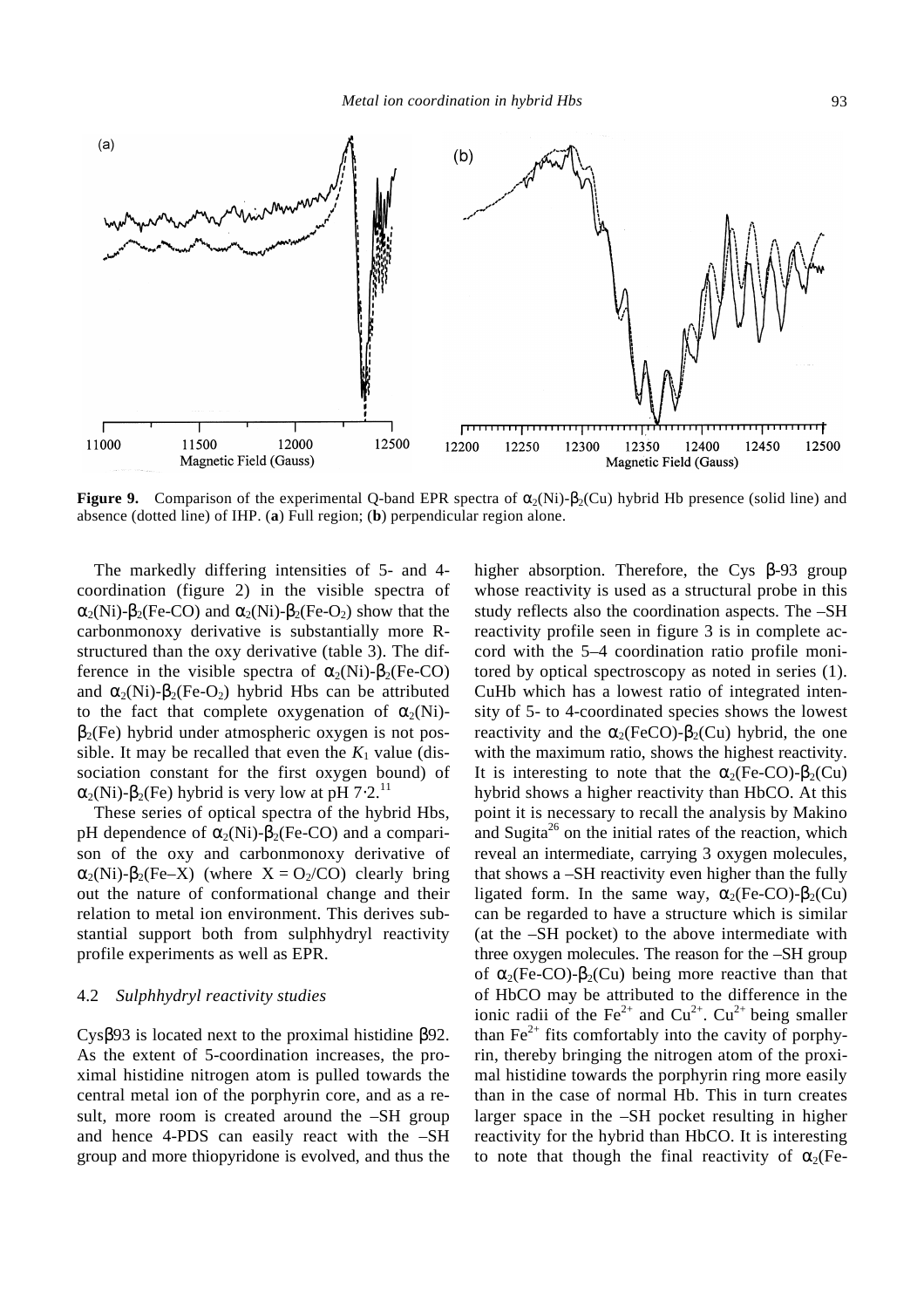*Metal ion coordination in hybrid Hbs* 93



**Figure 9.** Comparison of the experimental Q-band EPR spectra of  $a_2(Ni)$ - $b_2(Cu)$  hybrid Hb presence (solid line) and absence (dotted line) of IHP. (**a**) Full region; (**b**) perpendicular region alone.

The markedly differing intensities of 5- and 4 coordination (figure 2) in the visible spectra of  $a_2(Ni)$ - $b_2(Fe\text{-}CO)$  and  $a_2(Ni)$ - $b_2(Fe\text{-}O_2)$  show that the carbonmonoxy derivative is substantially more Rstructured than the oxy derivative (table 3). The difference in the visible spectra of  $a_2(Ni)$ - $b_2(Fe-CO)$ and  $a_2(Ni)$ - $b_2(Fe-O_2)$  hybrid Hbs can be attributed to the fact that complete oxygenation of  $a_2(Ni)$  **hybrid under atmospheric oxygen is not pos**sible. It may be recalled that even the  $K_1$  value (dissociation constant for the first oxygen bound) of  $a_2(Ni)$ - $b_2(Fe)$  hybrid is very low at pH 7⋅2.<sup>11</sup>

These series of optical spectra of the hybrid Hbs, pH dependence of  $a_2(Ni)$ - $b_2$ (Fe-CO) and a comparison of the oxy and carbonmonoxy derivative of  $a_2(Ni)$ - $b_2(Fe-X)$  (where  $X = O_2/CO$ ) clearly bring out the nature of conformational change and their relation to metal ion environment. This derives substantial support both from sulphhydryl reactivity profile experiments as well as EPR.

### 4.2 *Sulphhydryl reactivity studies*

Cys*b*93 is located next to the proximal histidine *b*92. As the extent of 5-coordination increases, the proximal histidine nitrogen atom is pulled towards the central metal ion of the porphyrin core, and as a result, more room is created around the –SH group and hence 4-PDS can easily react with the –SH group and more thiopyridone is evolved, and thus the higher absorption. Therefore, the Cys *b*-93 group whose reactivity is used as a structural probe in this study reflects also the coordination aspects. The –SH reactivity profile seen in figure 3 is in complete accord with the 5–4 coordination ratio profile monitored by optical spectroscopy as noted in series (1). CuHb which has a lowest ratio of integrated intensity of 5- to 4-coordinated species shows the lowest reactivity and the  $a_2$ (FeCO)- $b_2$ (Cu) hybrid, the one with the maximum ratio, shows the highest reactivity. It is interesting to note that the  $a_2$ (Fe-CO)- $b_2$ (Cu) hybrid shows a higher reactivity than HbCO. At this point it is necessary to recall the analysis by Makino and Sugita<sup>26</sup> on the initial rates of the reaction, which reveal an intermediate, carrying 3 oxygen molecules, that shows a –SH reactivity even higher than the fully ligated form. In the same way,  $a_2$ (Fe-CO)- $b_2$ (Cu) can be regarded to have a structure which is similar (at the –SH pocket) to the above intermediate with three oxygen molecules. The reason for the –SH group of  $a_2$ (Fe-CO)- $b_2$ (Cu) being more reactive than that of HbCO may be attributed to the difference in the ionic radii of the Fe<sup>2+</sup> and  $Cu^{2+}$ .  $Cu^{2+}$  being smaller than  $Fe<sup>2+</sup>$  fits comfortably into the cavity of porphyrin, thereby bringing the nitrogen atom of the proximal histidine towards the porphyrin ring more easily than in the case of normal Hb. This in turn creates larger space in the –SH pocket resulting in higher reactivity for the hybrid than HbCO. It is interesting to note that though the final reactivity of  $a_2$ (Fe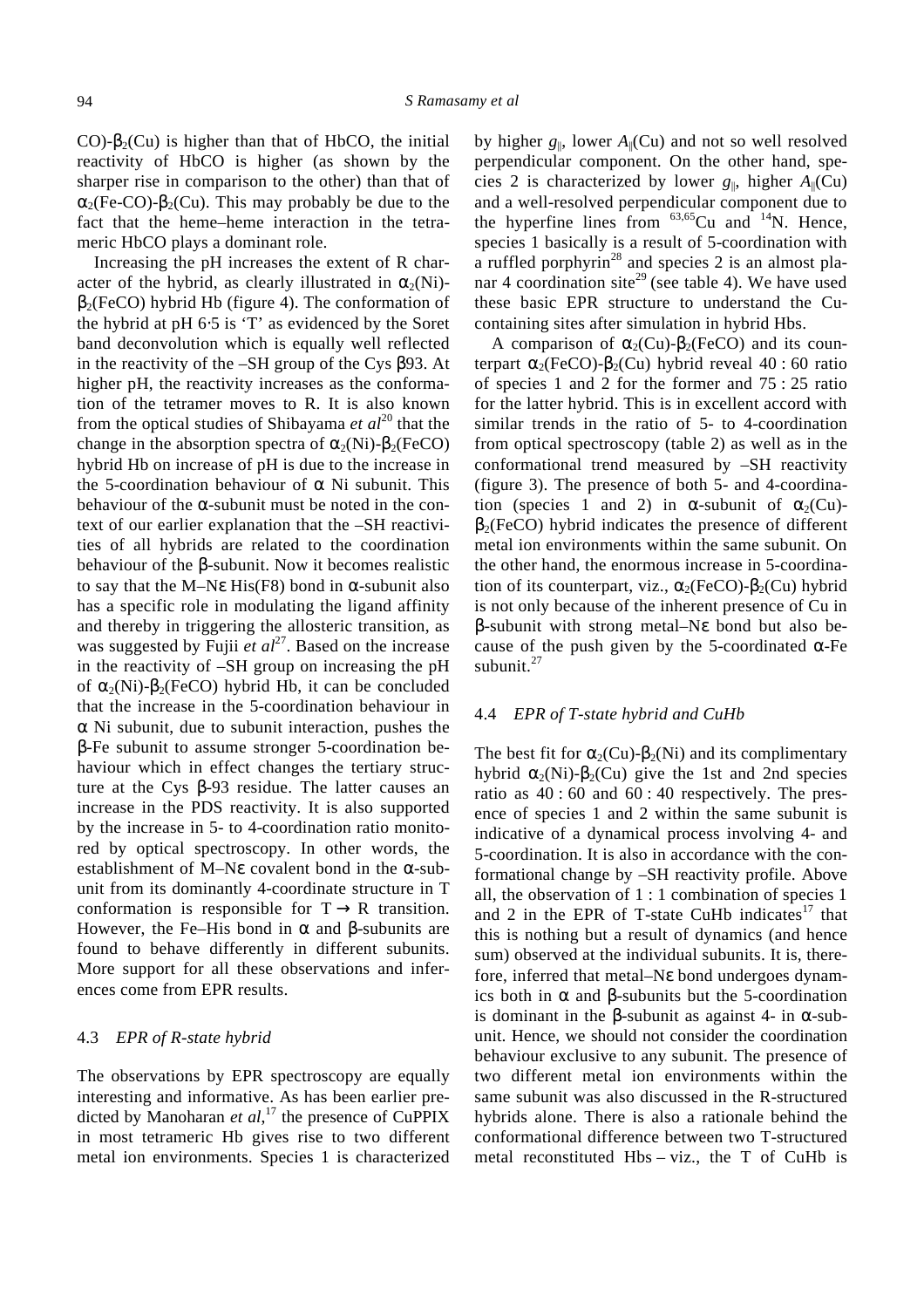CO)- $\mathbf{b}_2$ (Cu) is higher than that of HbCO, the initial reactivity of HbCO is higher (as shown by the sharper rise in comparison to the other) than that of  $a_2$ (Fe-CO)- $b_2$ (Cu). This may probably be due to the fact that the heme–heme interaction in the tetrameric HbCO plays a dominant role.

Increasing the pH increases the extent of R character of the hybrid, as clearly illustrated in  $a_2(Ni)$  **hybrid Hb (figure 4). The conformation of** the hybrid at pH 6⋅5 is 'T' as evidenced by the Soret band deconvolution which is equally well reflected in the reactivity of the –SH group of the Cys *b*93. At higher pH, the reactivity increases as the conformation of the tetramer moves to R. It is also known from the optical studies of Shibayama *et al*<sup>20</sup> that the change in the absorption spectra of  $a_2(Ni)$ - $b_2(FeCO)$ hybrid Hb on increase of pH is due to the increase in the 5-coordination behaviour of *a* Ni subunit. This behaviour of the *a*-subunit must be noted in the context of our earlier explanation that the –SH reactivities of all hybrids are related to the coordination behaviour of the *b*-subunit. Now it becomes realistic to say that the M–N*e* His(F8) bond in *a*-subunit also has a specific role in modulating the ligand affinity and thereby in triggering the allosteric transition, as was suggested by Fujii *et al*<sup>27</sup>. Based on the increase in the reactivity of –SH group on increasing the pH of  $a_2(Ni)$ - $b_2(FeCO)$  hybrid Hb, it can be concluded that the increase in the 5-coordination behaviour in *a* Ni subunit, due to subunit interaction, pushes the *b*-Fe subunit to assume stronger 5-coordination behaviour which in effect changes the tertiary structure at the Cys *b*-93 residue. The latter causes an increase in the PDS reactivity. It is also supported by the increase in 5- to 4-coordination ratio monitored by optical spectroscopy. In other words, the establishment of M–N*e* covalent bond in the *a*-subunit from its dominantly 4-coordinate structure in T conformation is responsible for  $T \rightarrow R$  transition. However, the Fe–His bond in *a* and *b*-subunits are found to behave differently in different subunits. More support for all these observations and inferences come from EPR results.

#### 4.3 *EPR of R-state hybrid*

The observations by EPR spectroscopy are equally interesting and informative. As has been earlier predicted by Manoharan *et al*, <sup>17</sup> the presence of CuPPIX in most tetrameric Hb gives rise to two different metal ion environments. Species 1 is characterized

by higher  $g_{\parallel}$ , lower  $A_{\parallel}$ (Cu) and not so well resolved perpendicular component. On the other hand, species 2 is characterized by lower  $g_{\parallel}$ , higher  $A_{\parallel}$ (Cu) and a well-resolved perpendicular component due to the hyperfine lines from  $^{63,65}$ Cu and  $^{14}$ N. Hence, species 1 basically is a result of 5-coordination with a ruffled porphyrin<sup>28</sup> and species 2 is an almost planar 4 coordination site<sup>29</sup> (see table 4). We have used these basic EPR structure to understand the Cucontaining sites after simulation in hybrid Hbs.

A comparison of  $a_2$ (Cu)- $b_2$ (FeCO) and its counterpart  $\mathbf{a}_2$ (FeCO)- $\mathbf{b}_2$ (Cu) hybrid reveal 40 : 60 ratio of species 1 and 2 for the former and 75 : 25 ratio for the latter hybrid. This is in excellent accord with similar trends in the ratio of 5- to 4-coordination from optical spectroscopy (table 2) as well as in the conformational trend measured by –SH reactivity (figure 3). The presence of both 5- and 4-coordination (species 1 and 2) in **a**-subunit of  $a_2$ (Cu) **hybrid indicates the presence of different** metal ion environments within the same subunit. On the other hand, the enormous increase in 5-coordination of its counterpart, viz.,  $a_2$ (FeCO)- $b_2$ (Cu) hybrid is not only because of the inherent presence of Cu in *b*-subunit with strong metal–N*e* bond but also because of the push given by the 5-coordinated *a*-Fe subunit.<sup>27</sup>

#### 4.4 *EPR of T-state hybrid and CuHb*

The best fit for  $a_2$ (Cu)- $b_2$ (Ni) and its complimentary hybrid  $\mathbf{a}_2(Ni)$ - $\mathbf{b}_2(Cu)$  give the 1st and 2nd species ratio as 40 : 60 and 60 : 40 respectively. The presence of species 1 and 2 within the same subunit is indicative of a dynamical process involving 4- and 5-coordination. It is also in accordance with the conformational change by –SH reactivity profile. Above all, the observation of 1 : 1 combination of species 1 and 2 in the EPR of T-state CuHb indicates $17$  that this is nothing but a result of dynamics (and hence sum) observed at the individual subunits. It is, therefore, inferred that metal–N*e* bond undergoes dynamics both in  $\alpha$  and **b**-subunits but the 5-coordination is dominant in the *b*-subunit as against 4- in *a*-subunit. Hence, we should not consider the coordination behaviour exclusive to any subunit. The presence of two different metal ion environments within the same subunit was also discussed in the R-structured hybrids alone. There is also a rationale behind the conformational difference between two T-structured metal reconstituted Hbs – viz., the T of CuHb is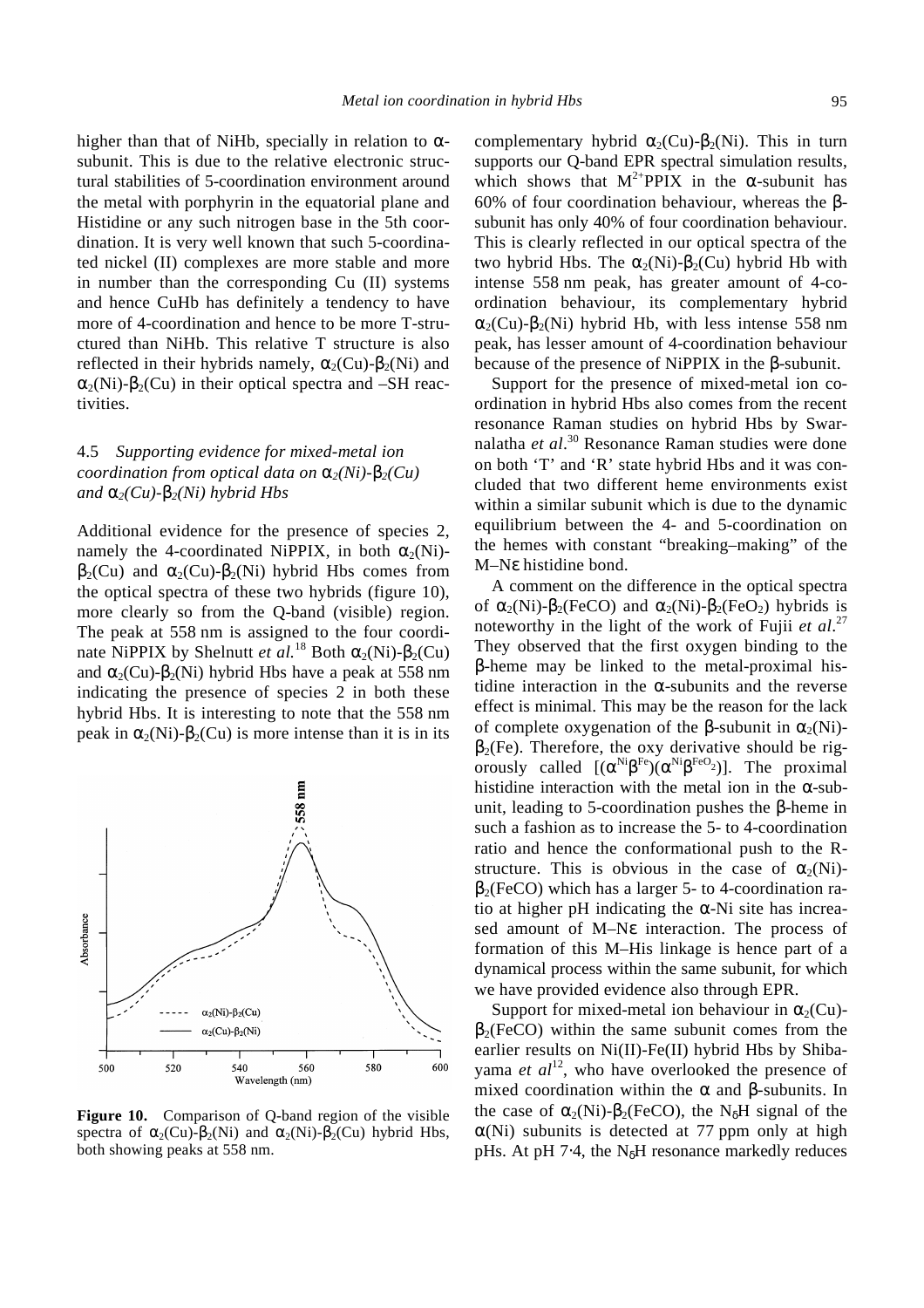higher than that of NiHb, specially in relation to *a*subunit. This is due to the relative electronic structural stabilities of 5-coordination environment around the metal with porphyrin in the equatorial plane and Histidine or any such nitrogen base in the 5th coordination. It is very well known that such 5-coordinated nickel (II) complexes are more stable and more in number than the corresponding Cu (II) systems and hence CuHb has definitely a tendency to have more of 4-coordination and hence to be more T-structured than NiHb. This relative T structure is also reflected in their hybrids namely,  $a_2$ (Cu)- $b_2$ (Ni) and  $a_2(Ni)$ - $b_2(Cu)$  in their optical spectra and –SH reactivities.

# 4.5 *Supporting evidence for mixed-metal ion coordination from optical data on*  $\mathbf{a}_2(Ni) \cdot \mathbf{b}_2(Cu)$ *and*  $\mathbf{a}_2$ (*Cu*)- $\mathbf{b}_2$ (*Ni*) hybrid Hbs

Additional evidence for the presence of species 2, namely the 4-coordinated NiPPIX, in both  $a_2(Ni)$  **and**  $**a**<sub>2</sub>(Cu) - **b**<sub>2</sub>(Ni)$  **hybrid Hbs comes from** the optical spectra of these two hybrids (figure 10), more clearly so from the Q-band (visible) region. The peak at 558 nm is assigned to the four coordinate NiPPIX by Shelnutt *et al.*<sup>18</sup> Both  $a_2(Ni)$ - $b_2(Cu)$ and  $\mathbf{a}_2$ (Cu)- $\mathbf{b}_2$ (Ni) hybrid Hbs have a peak at 558 nm indicating the presence of species 2 in both these hybrid Hbs. It is interesting to note that the 558 nm peak in  $a_2(Ni)$ - $b_2(Cu)$  is more intense than it is in its



**Figure 10.** Comparison of Q-band region of the visible spectra of  $\mathbf{a}_2$ (Cu)- $\mathbf{b}_2$ (Ni) and  $\mathbf{a}_2$ (Ni)- $\mathbf{b}_2$ (Cu) hybrid Hbs, both showing peaks at 558 nm.

complementary hybrid  $\mathbf{a}_2$ (Cu)- $\mathbf{b}_2$ (Ni). This in turn supports our Q-band EPR spectral simulation results, which shows that  $M^{2+}$ PPIX in the **a**-subunit has 60% of four coordination behaviour, whereas the *b*subunit has only 40% of four coordination behaviour. This is clearly reflected in our optical spectra of the two hybrid Hbs. The  $a_2(Ni)$ - $b_2(Cu)$  hybrid Hb with intense 558 nm peak, has greater amount of 4-coordination behaviour, its complementary hybrid  $a_2$ (Cu)- $b_2$ (Ni) hybrid Hb, with less intense 558 nm peak, has lesser amount of 4-coordination behaviour because of the presence of NiPPIX in the *b*-subunit.

Support for the presence of mixed-metal ion coordination in hybrid Hbs also comes from the recent resonance Raman studies on hybrid Hbs by Swarnalatha *et al*. <sup>30</sup> Resonance Raman studies were done on both 'T' and 'R' state hybrid Hbs and it was concluded that two different heme environments exist within a similar subunit which is due to the dynamic equilibrium between the 4- and 5-coordination on the hemes with constant "breaking–making" of the M–N*e* histidine bond.

A comment on the difference in the optical spectra of  $a_2(Ni)$ - $b_2(FeCO)$  and  $a_2(Ni)$ - $b_2(FeO_2)$  hybrids is noteworthy in the light of the work of Fujii *et al*. 27 They observed that the first oxygen binding to the *b*-heme may be linked to the metal-proximal histidine interaction in the  $\alpha$ -subunits and the reverse effect is minimal. This may be the reason for the lack of complete oxygenation of the **b**-subunit in  $a_2(Ni)$ -**. Therefore, the oxy derivative should be rig**orously called  $[(a^{Ni}b^{Fe})(a^{Ni}b^{FeO_2})]$ . The proximal histidine interaction with the metal ion in the *a*-subunit, leading to 5-coordination pushes the *b*-heme in such a fashion as to increase the 5- to 4-coordination ratio and hence the conformational push to the Rstructure. This is obvious in the case of  $a_2(Ni)$  **which has a larger 5- to 4-coordination ra**tio at higher pH indicating the *a*-Ni site has increased amount of M–N*e* interaction. The process of formation of this M–His linkage is hence part of a dynamical process within the same subunit, for which we have provided evidence also through EPR.

Support for mixed-metal ion behaviour in  $a_2$ (Cu) **within the same subunit comes from the** earlier results on Ni(II)-Fe(II) hybrid Hbs by Shibayama *et al*<sup>12</sup>, who have overlooked the presence of mixed coordination within the *a* and *b-*subunits. In the case of  $a_2(Ni)$ - $b_2(FeCO)$ , the N<sub>d</sub>H signal of the *a*(Ni) subunits is detected at 77 ppm only at high pHs. At pH 7⋅4, the N*d*H resonance markedly reduces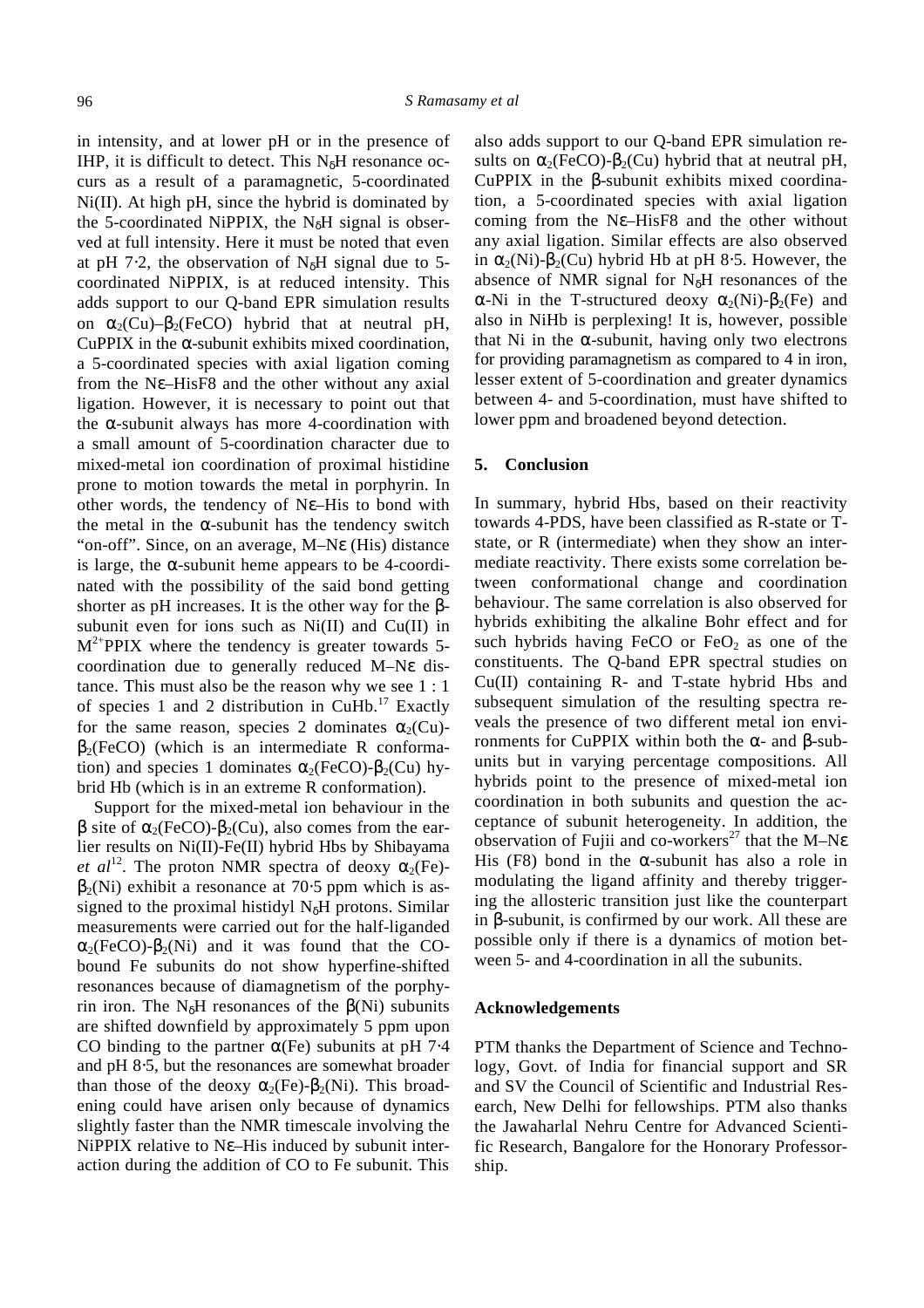in intensity, and at lower pH or in the presence of IHP, it is difficult to detect. This N*d*H resonance occurs as a result of a paramagnetic, 5-coordinated Ni(II). At high pH, since the hybrid is dominated by the 5-coordinated NiPPIX, the N*d*H signal is observed at full intensity. Here it must be noted that even at pH 7⋅2, the observation of N*d*H signal due to 5 coordinated NiPPIX, is at reduced intensity. This adds support to our Q-band EPR simulation results on  $a_2$ (Cu)– $b_2$ (FeCO) hybrid that at neutral pH, CuPPIX in the *a*-subunit exhibits mixed coordination, a 5-coordinated species with axial ligation coming from the N*e*–HisF8 and the other without any axial ligation. However, it is necessary to point out that the *a*-subunit always has more 4-coordination with a small amount of 5-coordination character due to mixed-metal ion coordination of proximal histidine prone to motion towards the metal in porphyrin. In other words, the tendency of N*e*–His to bond with the metal in the *a*-subunit has the tendency switch "on-off". Since, on an average, M–N*e* (His) distance is large, the *a*-subunit heme appears to be 4-coordinated with the possibility of the said bond getting shorter as pH increases. It is the other way for the *b*subunit even for ions such as Ni(II) and Cu(II) in  $M^{2+}$ PPIX where the tendency is greater towards 5coordination due to generally reduced M–N*e* distance. This must also be the reason why we see 1 : 1 of species 1 and 2 distribution in  $CuHb$ .<sup>17</sup> Exactly for the same reason, species 2 dominates  $a_2$ (Cu)- **(which is an intermediate R conforma**tion) and species 1 dominates  $a_2$ (FeCO)- $b_2$ (Cu) hybrid Hb (which is in an extreme R conformation).

Support for the mixed-metal ion behaviour in the *b* site of  $a_2$ (FeCO)- $b_2$ (Cu), also comes from the earlier results on Ni(II)-Fe(II) hybrid Hbs by Shibayama *et al*<sup>12</sup>. The proton NMR spectra of deoxy  $a_2$ (Fe) **exhibit a resonance at 70⋅5 ppm which is as**signed to the proximal histidyl N*d*H protons. Similar measurements were carried out for the half-liganded  $a_2$ (FeCO)- $b_2$ (Ni) and it was found that the CObound Fe subunits do not show hyperfine-shifted resonances because of diamagnetism of the porphyrin iron. The  $N_dH$  resonances of the  $\mathbf{b}(Ni)$  subunits are shifted downfield by approximately 5 ppm upon CO binding to the partner *a*(Fe) subunits at pH 7⋅4 and pH 8⋅5, but the resonances are somewhat broader than those of the deoxy  $a_2$ (Fe)- $b_2$ (Ni). This broadening could have arisen only because of dynamics slightly faster than the NMR timescale involving the NiPPIX relative to N*e*–His induced by subunit interaction during the addition of CO to Fe subunit. This also adds support to our Q-band EPR simulation results on  $a_2$ (FeCO)- $b_2$ (Cu) hybrid that at neutral pH, CuPPIX in the *b*-subunit exhibits mixed coordination, a 5-coordinated species with axial ligation coming from the N*e*–HisF8 and the other without any axial ligation. Similar effects are also observed in  $a_2(Ni)$ - $b_2(Cu)$  hybrid Hb at pH 8⋅5. However, the absence of NMR signal for N*d*H resonances of the *a*-Ni in the T-structured deoxy  $a_2(Ni)$ - $b_2(Fe)$  and also in NiHb is perplexing! It is, however, possible that Ni in the *a*-subunit, having only two electrons for providing paramagnetism as compared to 4 in iron, lesser extent of 5-coordination and greater dynamics between 4- and 5-coordination, must have shifted to lower ppm and broadened beyond detection.

### **5. Conclusion**

In summary, hybrid Hbs, based on their reactivity towards 4-PDS, have been classified as R-state or Tstate, or R (intermediate) when they show an intermediate reactivity. There exists some correlation between conformational change and coordination behaviour. The same correlation is also observed for hybrids exhibiting the alkaline Bohr effect and for such hybrids having FeCO or  $FeO<sub>2</sub>$  as one of the constituents. The Q-band EPR spectral studies on Cu(II) containing R- and T-state hybrid Hbs and subsequent simulation of the resulting spectra reveals the presence of two different metal ion environments for CuPPIX within both the *a*- and *b*-subunits but in varying percentage compositions. All hybrids point to the presence of mixed-metal ion coordination in both subunits and question the acceptance of subunit heterogeneity. In addition, the observation of Fujii and co-workers<sup>27</sup> that the M–Ne His (F8) bond in the *a*-subunit has also a role in modulating the ligand affinity and thereby triggering the allosteric transition just like the counterpart in *b*-subunit, is confirmed by our work. All these are possible only if there is a dynamics of motion between 5- and 4-coordination in all the subunits.

# **Acknowledgements**

PTM thanks the Department of Science and Technology, Govt. of India for financial support and SR and SV the Council of Scientific and Industrial Research, New Delhi for fellowships. PTM also thanks the Jawaharlal Nehru Centre for Advanced Scientific Research, Bangalore for the Honorary Professorship.